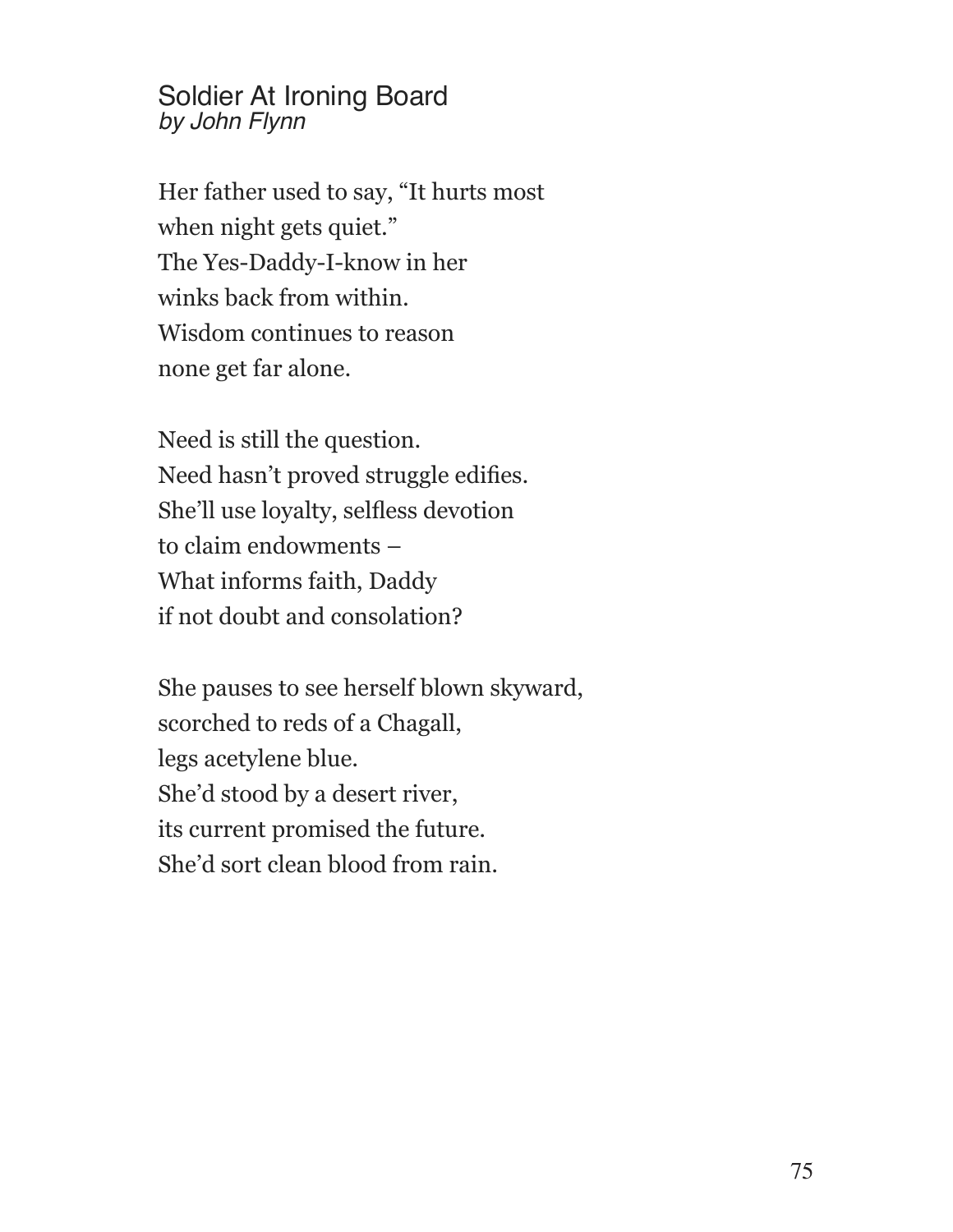## Soldier At Ironing Board *by John Flynn*

Her father used to say, "It hurts most when night gets quiet." The Yes-Daddy-I-know in her winks back from within. Wisdom continues to reason none get far alone.

Need is still the question. Need hasn't proved struggle edifies. She'll use loyalty, selfless devotion to claim endowments – What informs faith, Daddy if not doubt and consolation?

She pauses to see herself blown skyward, scorched to reds of a Chagall, legs acetylene blue. She'd stood by a desert river, its current promised the future. She'd sort clean blood from rain.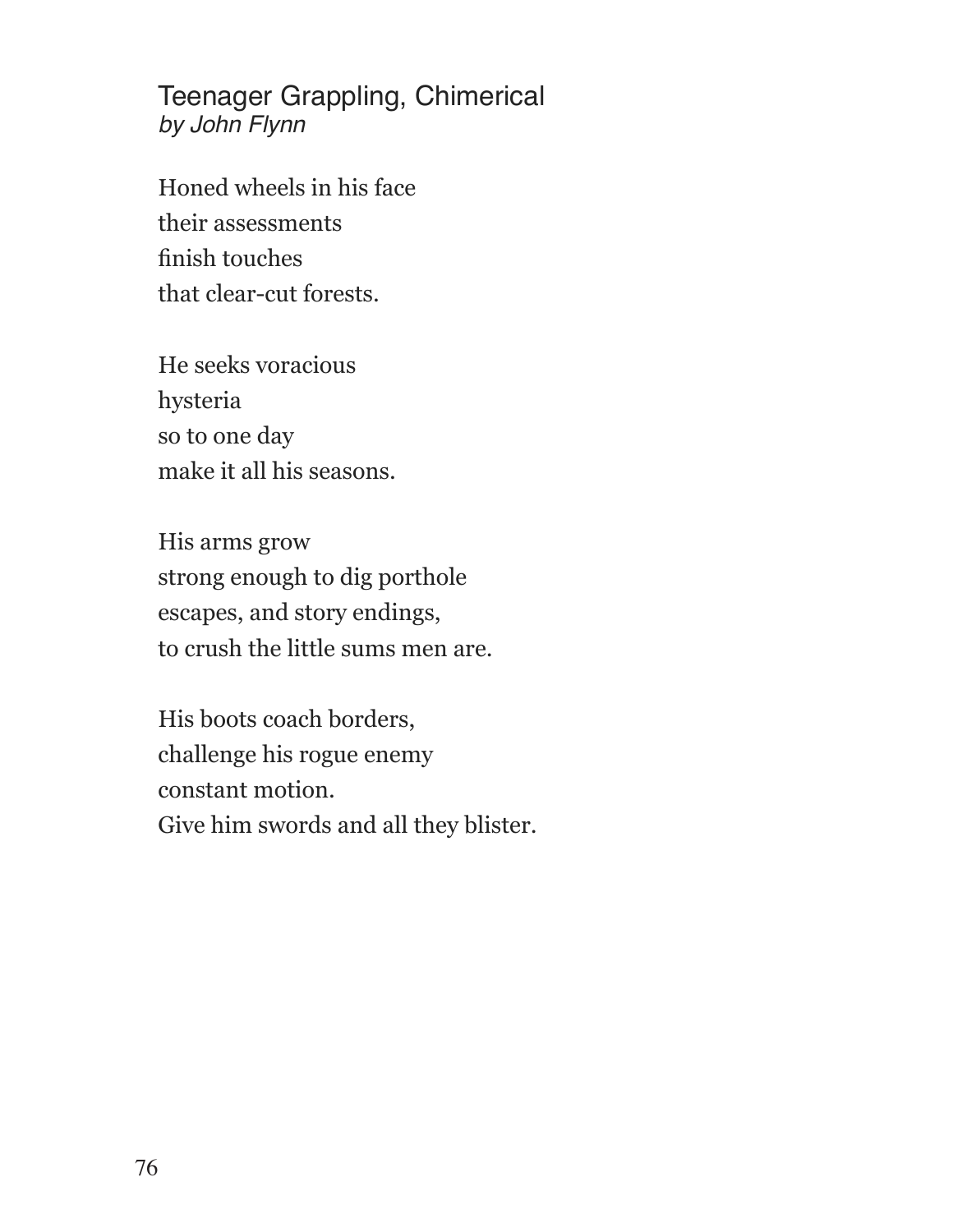Teenager Grappling, Chimerical *by John Flynn*

Honed wheels in his face their assessments finish touches that clear-cut forests.

He seeks voracious hysteria so to one day make it all his seasons.

His arms grow strong enough to dig porthole escapes, and story endings, to crush the little sums men are.

His boots coach borders, challenge his rogue enemy constant motion. Give him swords and all they blister.